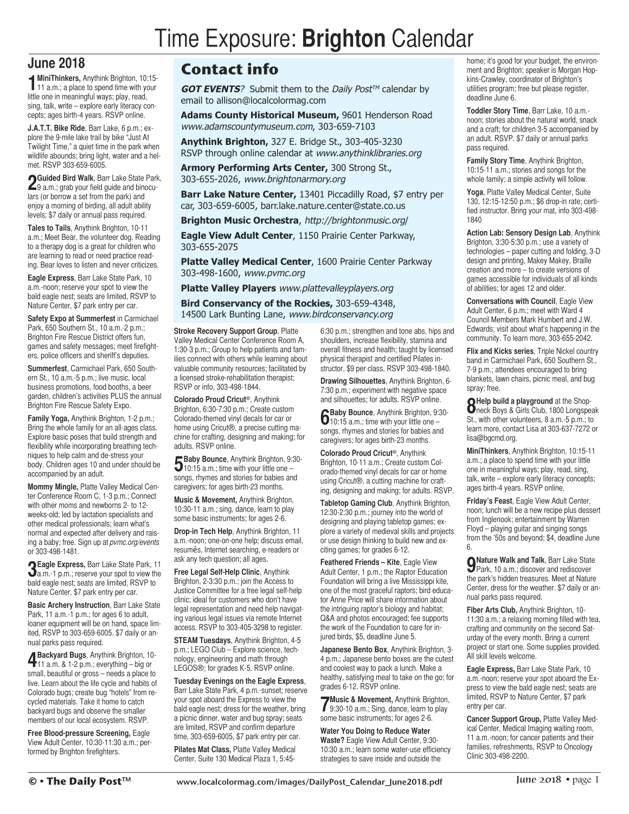## Time Exposure: **Brighton** Calendar

## **June 2018**

**1MiniThinkers,** Anythink Brighton, 10:15- 11 a.m.; a place to spend time with your little one in meaningful ways; play, read, sing, talk, write – explore early literacy concepts; ages birth-4 years. RSVP online.

**J.A.T.T. Bike Ride**, Barr Lake, 6 p.m.; explore the 9-mile lake trail by bike "Just At Twilight Time," a quiet time in the park when wildlife abounds; bring light, water and a helmet. RSVP 303-659-6005.

**2Guided Bird Walk**, Barr Lake State Park, 9 a.m.; grab your field guide and binoculars (or borrow a set from the park) and enjoy a morning of birding, all adult ability levels; \$7 daily or annual pass required.

**Tales to Tails**, Anythink Brighton, 10-11 a.m.; Meet Bear, the volunteer dog. Reading to a therapy dog is a great for children who are learning to read or need practice reading. Bear loves to listen and never criticizes.

**Eagle Express**, Barr Lake State Park, 10 a.m.-noon; reserve your spot to view the bald eagle nest; seats are limited, RSVP to Nature Center, \$7 park entry per car.

**Safety Expo at Summerfest** in Carmichael Park, 650 Southern St., 10 a.m.-2 p.m.; Brighton Fire Rescue District offers fun, games and safety messages; meet firefighters, police officers and sheriff's deputies.

**Summerfest**, Carmichael Park, 650 Southern St., 10 a.m.-5 p.m.; live music, local business promotions, food booths, a beer garden, children's activities PLUS the annual Brighton Fire Rescue Safety Expo.

**Family Yoga,** Anythink Brighton, 1-2 p.m.; Bring the whole family for an all-ages class. Explore basic poses that build strength and flexibility while incorporating breathing techniques to help calm and de-stress your body. Children ages 10 and under should be accompanied by an adult.

**Mommy Mingle,** Platte Valley Medical Center Conference Room C, 1-3 p.m.; Connect with other moms and newborns 2- to 12 weeks-old; led by lactation specialists and other medical professionals; learn what's normal and expected after delivery and raising a baby; free. Sign up at *pvmc.org/events* or 303-498-1481.

**3Eagle Express,** Barr Lake State Park, <sup>11</sup> a.m.-1 p.m.; reserve your spot to view the bald eagle nest; seats are limited, RSVP to Nature Center, \$7 park entry per car.

**Basic Archery Instruction**, Barr Lake State Park, 11 a.m.-1 p.m.; for ages 6 to adult, loaner equipment will be on hand, space limited, RSVP to 303-659-6005. \$7 daily or annual parks pass required.

**4Backyard Bugs**, Anythink Brighton, 10- 11 a.m. & 1-2 p.m.; everything – big or small, beautiful or gross – needs a place to live. Learn about the life cycle and habits of Colorado bugs; create bug "hotels" from recycled materials. Take it home to catch backyard bugs and observe the smaller members of our local ecosystem. RSVP.

**Free Blood-pressure Screening,** Eagle View Adult Center, 10:30-11:30 a.m.; performed by Brighton firefighters.

## **Contact info**

**GOT EVENTS**? Submit them to the *Daily Post™* calendar by email to allison@localcolormag.com

**Adams County Historical Museum,** 9601 Henderson Road [www.adamscountymuseum.com](http://www.adamscountymuseum.com/index.html), 303-659-7103

**Anythink Brighton,** 327 E. Bridge St., 303-405-3230 RSVP through online calendar at [www.anythinklibraries.org](https://www.anythinklibraries.org/)

**Armory Performing Arts Center,** 300 Strong St., 303-655-2026, [www.brightonarmory.org](http://brightonarmory.org/)

**Barr Lake Nature Center,** 13401 Piccadilly Road, \$7 entry per car, 303-659-6005, barr.lake.nature.center@state.co.us

**Brighton Music Orchestra**, [http://brightonmusic.org](http://brightonmusic.org/)/

**Eagle View Adult Center**, 1150 Prairie Center Parkway, 303-655-2075

**Platte Valley Medical Center**, 1600 Prairie Center Parkway 303-498-1600, [www.pvmc.org](https://www.pvmc.org/)

**Platte Valley Players** [www.plattevalleyplayers.org](http://plattevalleyplayers.org/)

**Bird Conservancy of the Rockies,** 303-659-4348, 14500 Lark Bunting Lane, [www.birdconservancy.org](http://www.birdconservancy.org/)

**Stroke Recovery Support Group**, Platte Valley Medical Center Conference Room A, 1:30-3 p.m.; Group to help patients and families connect with others while learning about valuable community resources; facilitated by a licensed stroke-rehabilitation therapist; RSVP or info, 303-498-1844.

**Colorado Proud Cricut ®**, Anythink Brighton, 6:30-7:30 p.m.; Create custom Colorado-themed vinyl decals for car or home using Cricut®, a precise cutting machine for crafting, designing and making; for adults. RSVP online.

**5Baby Bounce**, Anythink Brighton, 9:30- 10:15 a.m.; time with your little one – songs, rhymes and stories for babies and caregivers; for ages birth-23 months.

**Music & Movement,** Anythink Brighton, 10:30-11 a.m.; sing, dance, learn to play some basic instruments; for ages 2-6.

**Drop-in Tech Help**, Anythink Brighton, 11 a.m.-noon; one-on-one help; discuss email, resumés, Internet searching, e-readers or ask any tech question; all ages.

**Free Legal Self-Help Clinic**, Anythink Brighton, 2-3:30 p.m.; join the Access to Justice Committee for a free legal self-help clinic; ideal for customers who don't have legal representation and need help navigating various legal issues via remote Internet access. RSVP to 303-405-3298 to register.

**STEAM Tuesdays**, Anythink Brighton, 4-5 p.m.; LEGO Club – Explore science, technology, engineering and math through LEGOS®; for grades K-5. RSVP online.

**Tuesday Evenings on the Eagle Express**, Barr Lake State Park, 4 p.m.-sunset; reserve your spot aboard the Express to view the bald eagle nest; dress for the weather, bring a picnic dinner, water and bug spray; seats are limited, RSVP and confirm departure time, 303-659-6005, \$7 park entry per car.

**Pilates Mat Class,** Platte Valley Medical Center, Suite 130 Medical Plaza 1, 5:456:30 p.m.; strengthen and tone abs, hips and shoulders, increase flexibility, stamina and overall fitness and health; taught by licensed physical therapist and certified Pilates instructor, \$9 per class, RSVP 303-498-1840.

**Drawing Silhouettes**, Anythink Brighton, 6- 7:30 p.m.; experiment with negative space and silhouettes; for adults. RSVP online.

**6Baby Bounce**, Anythink Brighton, 9:30- 10:15 a.m.; time with your little one – songs, rhymes and stories for babies and caregivers; for ages birth-23 months.

**Colorado Proud Cricut ®**, Anythink Brighton, 10-11 a.m.; Create custom Colorado-themed vinyl decals for car or home using Cricut®, a cutting machine for crafting, designing and making; for adults. RSVP.

**Tabletop Gaming Club**, Anythink Brighton, 12:30-2:30 p.m.; journey into the world of designing and playing tabletop games; explore a variety of medieval skills and projects or use design thinking to build new and exciting games; for grades 6-12.

**Feathered Friends – Kite**, Eagle View Adult Center, 1 p.m.; the Raptor Education Foundation will bring a live Mississippi kite, one of the most graceful raptors; bird educator Anne Price will share information about the intriguing raptor's biology and habitat; Q&A and photos encouraged; fee supports the work of the Foundation to care for injured birds, \$5, deadline June 5.

**Japanese Bento Box**, Anythink Brighton, 3- 4 p.m.; Japanese bento boxes are the cutest and coolest way to pack a lunch. Make a healthy, satisfying meal to take on the go; for grades 6-12. RSVP online.

**7Music & Movement,** Anythink Brighton, 9:30-10 a.m.; Sing, dance, learn to play some basic instruments; for ages 2-6.

**Water You Doing to Reduce Water Waste?** Eagle View Adult Center, 9:30- 10:30 a.m.; learn some water-use efficiency strategies to save inside and outside the

home; it's good for your budget, the environment and Brighton; speaker is Morgan Hopkins-Crawley, coordinator of Brighton's utilities program; free but please register, deadline June 6.

**Toddler Story Time**, Barr Lake, 10 a.m. noon; stories about the natural world, snack and a craft; for children 3-5 accompanied by an adult. RSVP. \$7 daily or annual parks pass required.

**Family Story Time**, Anythink Brighton, 10:15-11 a.m.; stories and songs for the whole family; a simple activity will follow.

**Yoga**, Platte Valley Medical Center, Suite 130, 12:15-12:50 p.m.; \$6 drop-in rate; certified instructor. Bring your mat, info 303-498- 1840

**Action Lab: Sensory Design Lab**, Anythink Brighton, 3:30-5:30 p.m.; use a variety of technologies – paper cutting and folding, 3-D design and printing, Makey Makey, Braille creation and more – to create versions of games accessible for individuals of all kinds of abilities; for ages 12 and older.

**Conversations with Council**, Eagle View Adult Center, 6 p.m.; meet with Ward 4 Council Members Mark Humbert and J.W. Edwards; visit about what's happening in the community. To learn more, 303-655-2042.

**Flix and Kicks series**, Triple Nickel country band in Carmichael Park, 650 Southern St., 7-9 p.m.; attendees encouraged to bring blankets, lawn chairs, picnic meal, and bug spray; free.

**8Help build <sup>a</sup> playground** at the Shop-neck Boys & Girls Club, 1800 Longspeak St., with other volunteers, 8 a.m.-5 p.m.; to learn more, contact Lisa at 303-637-7272 or lisa@bgcmd.org.

**MiniThinkers**, Anythink Brighton, 10:15-11 a.m.; a place to spend time with your little one in meaningful ways; play, read, sing, talk, write – explore early literacy concepts; ages birth-4 years. RSVP online.

**Friday's Feast**, Eagle View Adult Center, noon; lunch will be a new recipe plus dessert from Inglenook; entertainment by Warren Floyd – playing guitar and singing songs from the '50s and beyond; \$4, deadline June 6.

**9Nature Walk and Talk**, Barr Lake State Park, 10 a.m.; discover and rediscover the park's hidden treasures. Meet at Nature Center, dress for the weather. \$7 daily or annual parks pass required.

**Fiber Arts Club,** Anythink Brighton, 10- 11:30 a.m.; a relaxing morning filled with tea, crafting and community on the second Saturday of the every month. Bring a current project or start one. Some supplies provided. All skill levels welcome.

**Eagle Express,** Barr Lake State Park, 10 a.m.-noon; reserve your spot aboard the Express to view the bald eagle nest; seats are limited, RSVP to Nature Center, \$7 park entry per car.

**Cancer Support Group,** Platte Valley Medical Center, Medical Imaging waiting room, 11 a.m.-noon; for cancer patients and their families, refreshments, RSVP to Oncology Clinic 303-498-2200.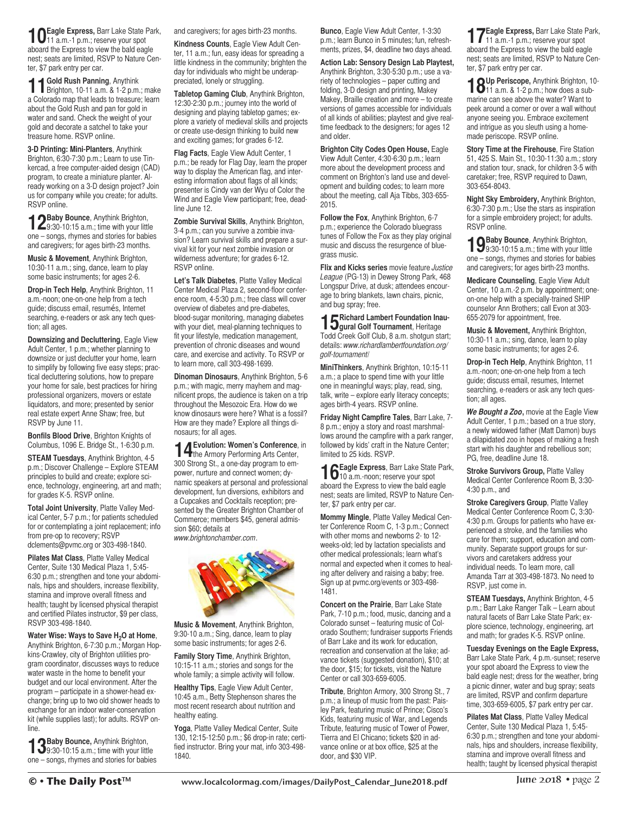**10Eagle Express,** Barr Lake State Park, 11 a.m.-1 p.m.; reserve your spot aboard the Express to view the bald eagle nest; seats are limited, RSVP to Nature Center, \$7 park entry per car.

**11Gold Rush Panning**, Anythink Brighton, 10-11 a.m. & 1-2 p.m.; make a Colorado map that leads to treasure; learn about the Gold Rush and pan for gold in water and sand. Check the weight of your gold and decorate a satchel to take your treasure home. RSVP online.

**3-D Printing: Mini-Planters**, Anythink Brighton, 6:30-7:30 p.m.; Learn to use Tinkercad, a free computer-aided design (CAD) program, to create a miniature planter. Already working on a 3-D design project? Join us for company while you create; for adults. RSVP online.

**12Baby Bounce**, Anythink Brighton, 9:30-10:15 a.m.; time with your little one – songs, rhymes and stories for babies and caregivers; for ages birth-23 months.

**Music & Movement**, Anythink Brighton, 10:30-11 a.m.; sing, dance, learn to play some basic instruments; for ages 2-6.

**Drop-in Tech Help**, Anythink Brighton, 11 a.m.-noon; one-on-one help from a tech guide; discuss email, resumés, Internet searching, e-readers or ask any tech question; all ages.

**Downsizing and Decluttering**, Eagle View Adult Center, 1 p.m.; whether planning to downsize or just declutter your home, learn to simplify by following five easy steps; practical decluttering solutions, how to prepare your home for sale, best practices for hiring professional organizers, movers or estate liquidators, and more; presented by senior real estate expert Anne Shaw; free, but RSVP by June 11.

**Bonfils Blood Drive**, Brighton Knights of Columbus, 1096 E. Bridge St., 1-6:30 p.m.

**STEAM Tuesdays**, Anythink Brighton, 4-5 p.m.; Discover Challenge – Explore STEAM principles to build and create; explore science, technology, engineering, art and math; for grades K-5. RSVP online.

**Total Joint University**, Platte Valley Medical Center, 5-7 p.m.; for patients scheduled for or contemplating a joint replacement; info from pre-op to recovery; RSVP dclements@pvmc.org or 303-498-1840.

**Pilates Mat Class**, Platte Valley Medical Center, Suite 130 Medical Plaza 1, 5:45- 6:30 p.m.; strengthen and tone your abdominals, hips and shoulders, increase flexibility, stamina and improve overall fitness and health; taught by licensed physical therapist and certified Pilates instructor, \$9 per class, RSVP 303-498-1840.

**Water Wise: Ways to Save H2O at Home**, Anythink Brighton, 6-7:30 p.m.; Morgan Hopkins-Crawley, city of Brighton utilities program coordinator, discusses ways to reduce water waste in the home to benefit your budget and our local environment. After the program – participate in a shower-head exchange; bring up to two old shower heads to exchange for an indoor water-conservation kit (while supplies last); for adults. RSVP online.

**13Baby Bounce,** Anythink Brighton, 9:30-10:15 a.m.; time with your little one – songs, rhymes and stories for babies and caregivers; for ages birth-23 months.

**Kindness Counts**, Eagle View Adult Center, 11 a.m.; fun, easy ideas for spreading a little kindness in the community; brighten the day for individuals who might be underappreciated, lonely or struggling.

**Tabletop Gaming Club**, Anythink Brighton, 12:30-2:30 p.m.; journey into the world of designing and playing tabletop games; explore a variety of medieval skills and projects or create use-design thinking to build new and exciting games; for grades 6-12.

**Flag Facts**, Eagle View Adult Center, 1 p.m.; be ready for Flag Day, learn the proper way to display the American flag, and interesting information about flags of all kinds; presenter is Cindy van der Wyu of Color the Wind and Eagle View participant; free, deadline June 12.

**Zombie Survival Skills**, Anythink Brighton, 3-4 p.m.; can you survive a zombie invasion? Learn survival skills and prepare a survival kit for your next zombie invasion or wilderness adventure; for grades 6-12. RSVP online.

**Let's Talk Diabetes**, Platte Valley Medical Center Medical Plaza 2, second-floor conference room, 4-5:30 p.m.; free class will cover overview of diabetes and pre-diabetes, blood-sugar monitoring, managing diabetes with your diet, meal-planning techniques to fit your lifestyle, medication management, prevention of chronic diseases and wound care, and exercise and activity. To RSVP or to learn more, call 303-498-1699.

**Dinoman Dinosaurs**, Anythink Brighton, 5-6 p.m.; with magic, merry mayhem and magnificent props, the audience is taken on a trip throughout the Mesozoic Era. How do we know dinosaurs were here? What is a fossil? How are they made? Explore all things dinosaurs; for all ages.

**14Evolution: Women's Conference**, in the Armory Performing Arts Center, 300 Strong St., a one-day program to empower, nurture and connect women; dynamic speakers at personal and professional development, fun diversions, exhibitors and a Cupcakes and Cocktails reception; presented by the Greater Brighton Chamber of Commerce; members \$45, general admission \$60; details at *www.brightonchamber.com*.



**Music & Movement**, Anythink Brighton, 9:30-10 a.m.; Sing, dance, learn to play some basic instruments; for ages 2-6.

**Family Story Time**, Anythink Brighton, 10:15-11 a.m.; stories and songs for the whole family; a simple activity will follow.

**Healthy Tips**, Eagle View Adult Center, 10:45 a.m., Betty Stephenson shares the most recent research about nutrition and healthy eating.

**Yoga**, Platte Valley Medical Center, Suite 130, 12:15-12:50 p.m.; \$6 drop-in rate; certified instructor. Bring your mat, info 303-498- 1840.

**Bunco**, Eagle View Adult Center, 1-3:30 p.m.; learn Bunco in 5 minutes; fun, refreshments, prizes, \$4, deadline two days ahead.

**Action Lab: Sensory Design Lab Playtest,** Anythink Brighton, 3:30-5:30 p.m.; use a variety of technologies – paper cutting and folding, 3-D design and printing, Makey Makey, Braille creation and more – to create versions of games accessible for individuals of all kinds of abilities; playtest and give realtime feedback to the designers; for ages 12 and older.

**Brighton City Codes Open House,** Eagle View Adult Center, 4:30-6:30 p.m.; learn more about the development process and comment on Brighton's land use and development and building codes; to learn more about the meeting, call Aja Tibbs, 303-655- 2015.

**Follow the Fox**, Anythink Brighton, 6-7 p.m.; experience the Colorado bluegrass tunes of Follow the Fox as they play original music and discuss the resurgence of bluegrass music.

**Flix and Kicks series** movie feature *Justice League* (PG-13) in Dewey Strong Park, 468 Longspur Drive, at dusk; attendees encourage to bring blankets, lawn chairs, picnic, and bug spray; free.

**15Richard Lambert Foundation Inau-gural Golf Tournament**, Heritage Todd Creek Golf Club, 8 a.m. shotgun start; details: *www.richardlambertfoundation.org/ golf-tournament*/

**MiniThinkers**, Anythink Brighton, 10:15-11 a.m.; a place to spend time with your little one in meaningful ways; play, read, sing, talk, write – explore early literacy concepts; ages birth-4 years. RSVP online.

**Friday Night Campfire Tales**, Barr Lake, 7- 8 p.m.; enjoy a story and roast marshmallows around the campfire with a park ranger, followed by kids' craft in the Nature Center; limited to 25 kids. RSVP.

**16Eagle Express**, Barr Lake State Park, 10 a.m.-noon; reserve your spot aboard the Express to view the bald eagle nest; seats are limited, RSVP to Nature Center, \$7 park entry per car.

**Mommy Mingle**, Platte Valley Medical Center Conference Room C, 1-3 p.m.; Connect with other moms and newborns 2- to 12 weeks-old; led by lactation specialists and other medical professionals; learn what's normal and expected when it comes to healing after delivery and raising a baby; free. Sign up at pvmc.org/events or 303-498- 1481.

**Concert on the Prairie**, Barr Lake State Park, 7-10 p.m.; food, music, dancing and a Colorado sunset – featuring music of Colorado Southern; fundraiser supports Friends of Barr Lake and its work for education, recreation and conservation at the lake; advance tickets (suggested donation), \$10; at the door, \$15; for tickets, visit the Nature Center or call 303-659-6005.

**Tribute**, Brighton Armory, 300 Strong St., 7 p.m.; a lineup of music from the past: Paisley Park, featuring music of Prince; Cisco's Kids, featuring music of War, and Legends Tribute, featuring music of Tower of Power, Tierra and El Chicano; tickets \$20 in advance online or at box office, \$25 at the door, and \$30 VIP.

**17Eagle Express,** Barr Lake State Park, 11 a.m.-1 p.m.; reserve your spot aboard the Express to view the bald eagle nest; seats are limited, RSVP to Nature Center, \$7 park entry per car.

18Up Periscope, Anythink Brighton, 10-<br>11 a.m. & 1-2 p.m.; how does a submarine can see above the water? Want to peek around a corner or over a wall without anyone seeing you. Embrace excitement and intrigue as you sleuth using a homemade periscope. RSVP online.

**Story Time at the Firehouse**, Fire Station 51, 425 S. Main St., 10:30-11:30 a.m.; story and station tour, snack, for children 3-5 with caretaker; free, RSVP required to Dawn, 303-654-8043.

**Night Sky Embroidery,** Anythink Brighton, 6:30-7:30 p.m.; Use the stars as inspiration for a simple embroidery project; for adults. RSVP online.

**19Baby Bounce**, Anythink Brighton, 9:30-10:15 a.m.; time with your little one – songs, rhymes and stories for babies and caregivers; for ages birth-23 months.

**Medicare Counseling**, Eagle View Adult Center, 10 a.m.-2 p.m. by appointment; oneon-one help with a specially-trained SHIP counselor Ann Brothers; call Evon at 303- 655-2079 for appointment, free.

**Music & Movement,** Anythink Brighton, 10:30-11 a.m.; sing, dance, learn to play some basic instruments; for ages 2-6.

**Drop-in Tech Help**, Anythink Brighton, 11 a.m.-noon; one-on-one help from a tech guide; discuss email, resumes, Internet searching, e-readers or ask any tech question; all ages.

*We Bought a Zoo***,** movie at the Eagle View Adult Center, 1 p.m.; based on a true story, a newly widowed father (Matt Damon) buys a dilapidated zoo in hopes of making a fresh start with his daughter and rebellious son; PG, free, deadline June 18.

**Stroke Survivors Group,** Platte Valley Medical Center Conference Room B, 3:30- 4:30 p.m., and

**Stroke Caregivers Group**, Platte Valley Medical Center Conference Room C, 3:30- 4:30 p.m. Groups for patients who have experienced a stroke, and the families who care for them; support, education and community. Separate support groups for survivors and caretakers address your individual needs. To learn more, call Amanda Tarr at 303-498-1873. No need to RSVP, just come in.

**STEAM Tuesdays,** Anythink Brighton, 4-5 p.m.; Barr Lake Ranger Talk – Learn about natural facets of Barr Lake State Park; explore science, technology, engineering, art and math; for grades K-5. RSVP online.

**Tuesday Evenings on the Eagle Express,** Barr Lake State Park, 4 p.m.-sunset; reserve your spot aboard the Express to view the bald eagle nest; dress for the weather, bring a picnic dinner, water and bug spray; seats are limited, RSVP and confirm departure time, 303-659-6005, \$7 park entry per car.

**Pilates Mat Class**, Platte Valley Medical Center, Suite 130 Medical Plaza 1, 5:45- 6:30 p.m.; strengthen and tone your abdominals, hips and shoulders, increase flexibility, stamina and improve overall fitness and health; taught by licensed physical therapist